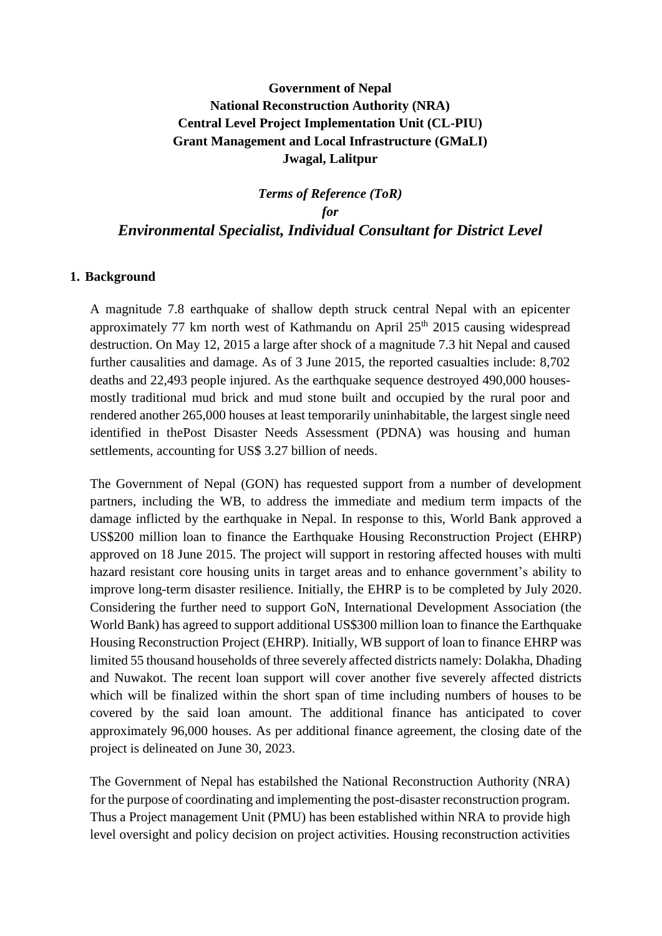# **Government of Nepal National Reconstruction Authority (NRA) Central Level Project Implementation Unit (CL-PIU) Grant Management and Local Infrastructure (GMaLI) Jwagal, Lalitpur**

# *Terms of Reference (ToR) for Environmental Specialist, Individual Consultant for District Level*

#### **1. Background**

A magnitude 7.8 earthquake of shallow depth struck central Nepal with an epicenter approximately 77 km north west of Kathmandu on April  $25<sup>th</sup>$  2015 causing widespread destruction. On May 12, 2015 a large after shock of a magnitude 7.3 hit Nepal and caused further causalities and damage. As of 3 June 2015, the reported casualties include: 8,702 deaths and 22,493 people injured. As the earthquake sequence destroyed 490,000 housesmostly traditional mud brick and mud stone built and occupied by the rural poor and rendered another 265,000 houses at least temporarily uninhabitable, the largest single need identified in thePost Disaster Needs Assessment (PDNA) was housing and human settlements, accounting for US\$ 3.27 billion of needs.

The Government of Nepal (GON) has requested support from a number of development partners, including the WB, to address the immediate and medium term impacts of the damage inflicted by the earthquake in Nepal. In response to this, World Bank approved a US\$200 million loan to finance the Earthquake Housing Reconstruction Project (EHRP) approved on 18 June 2015. The project will support in restoring affected houses with multi hazard resistant core housing units in target areas and to enhance government's ability to improve long-term disaster resilience. Initially, the EHRP is to be completed by July 2020. Considering the further need to support GoN, International Development Association (the World Bank) has agreed to support additional US\$300 million loan to finance the Earthquake Housing Reconstruction Project (EHRP). Initially, WB support of loan to finance EHRP was limited 55 thousand households of three severely affected districts namely: Dolakha, Dhading and Nuwakot. The recent loan support will cover another five severely affected districts which will be finalized within the short span of time including numbers of houses to be covered by the said loan amount. The additional finance has anticipated to cover approximately 96,000 houses. As per additional finance agreement, the closing date of the project is delineated on June 30, 2023.

The Government of Nepal has estabilshed the National Reconstruction Authority (NRA) for the purpose of coordinating and implementing the post-disaster reconstruction program. Thus a Project management Unit (PMU) has been established within NRA to provide high level oversight and policy decision on project activities. Housing reconstruction activities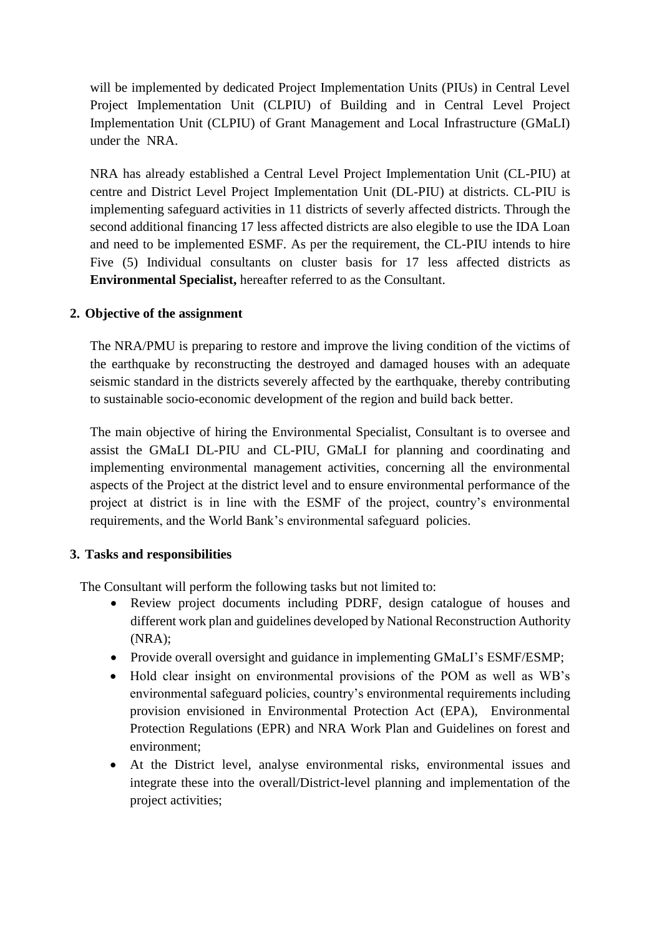will be implemented by dedicated Project Implementation Units (PIUs) in Central Level Project Implementation Unit (CLPIU) of Building and in Central Level Project Implementation Unit (CLPIU) of Grant Management and Local Infrastructure (GMaLI) under the NRA.

NRA has already established a Central Level Project Implementation Unit (CL-PIU) at centre and District Level Project Implementation Unit (DL-PIU) at districts. CL-PIU is implementing safeguard activities in 11 districts of severly affected districts. Through the second additional financing 17 less affected districts are also elegible to use the IDA Loan and need to be implemented ESMF. As per the requirement, the CL-PIU intends to hire Five (5) Individual consultants on cluster basis for 17 less affected districts as **Environmental Specialist,** hereafter referred to as the Consultant.

## **2. Objective of the assignment**

The NRA/PMU is preparing to restore and improve the living condition of the victims of the earthquake by reconstructing the destroyed and damaged houses with an adequate seismic standard in the districts severely affected by the earthquake, thereby contributing to sustainable socio-economic development of the region and build back better.

The main objective of hiring the Environmental Specialist, Consultant is to oversee and assist the GMaLI DL-PIU and CL-PIU, GMaLI for planning and coordinating and implementing environmental management activities, concerning all the environmental aspects of the Project at the district level and to ensure environmental performance of the project at district is in line with the ESMF of the project, country's environmental requirements, and the World Bank's environmental safeguard policies.

#### **3. Tasks and responsibilities**

The Consultant will perform the following tasks but not limited to:

- Review project documents including PDRF, design catalogue of houses and different work plan and guidelines developed by National Reconstruction Authority (NRA);
- Provide overall oversight and guidance in implementing GMaLI's ESMF/ESMP;
- Hold clear insight on environmental provisions of the POM as well as WB's environmental safeguard policies, country's environmental requirements including provision envisioned in Environmental Protection Act (EPA), Environmental Protection Regulations (EPR) and NRA Work Plan and Guidelines on forest and environment;
- At the District level, analyse environmental risks, environmental issues and integrate these into the overall/District-level planning and implementation of the project activities;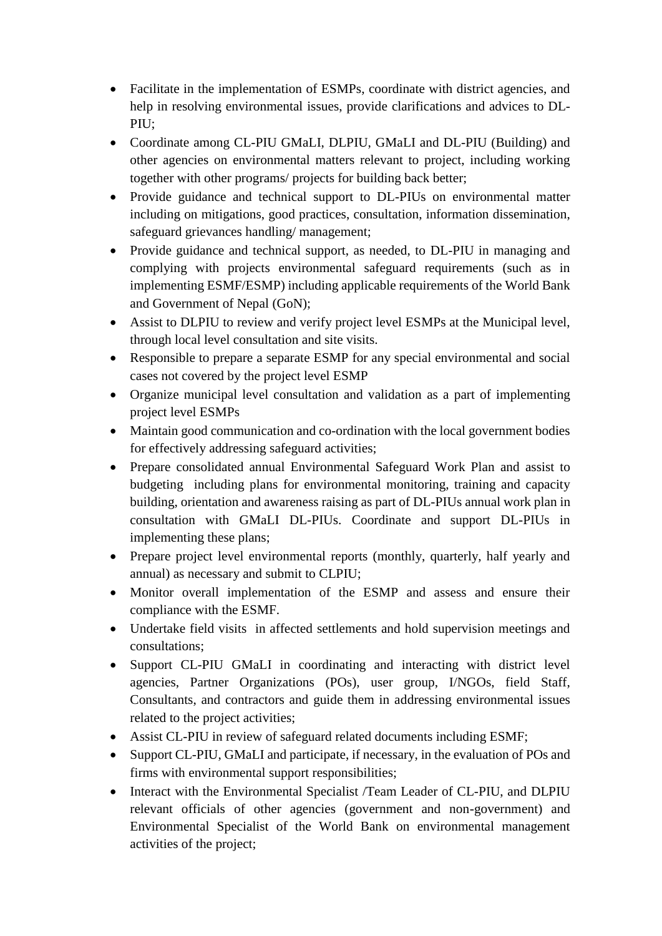- Facilitate in the implementation of ESMPs, coordinate with district agencies, and help in resolving environmental issues, provide clarifications and advices to DL-PIU;
- Coordinate among CL-PIU GMaLI, DLPIU, GMaLI and DL-PIU (Building) and other agencies on environmental matters relevant to project, including working together with other programs/ projects for building back better;
- Provide guidance and technical support to DL-PIUs on environmental matter including on mitigations, good practices, consultation, information dissemination, safeguard grievances handling/ management;
- Provide guidance and technical support, as needed, to DL-PIU in managing and complying with projects environmental safeguard requirements (such as in implementing ESMF/ESMP) including applicable requirements of the World Bank and Government of Nepal (GoN);
- Assist to DLPIU to review and verify project level ESMPs at the Municipal level, through local level consultation and site visits.
- Responsible to prepare a separate ESMP for any special environmental and social cases not covered by the project level ESMP
- Organize municipal level consultation and validation as a part of implementing project level ESMPs
- Maintain good communication and co-ordination with the local government bodies for effectively addressing safeguard activities;
- Prepare consolidated annual Environmental Safeguard Work Plan and assist to budgeting including plans for environmental monitoring, training and capacity building, orientation and awareness raising as part of DL-PIUs annual work plan in consultation with GMaLI DL-PIUs. Coordinate and support DL-PIUs in implementing these plans;
- Prepare project level environmental reports (monthly, quarterly, half yearly and annual) as necessary and submit to CLPIU;
- Monitor overall implementation of the ESMP and assess and ensure their compliance with the ESMF.
- Undertake field visits in affected settlements and hold supervision meetings and consultations;
- Support CL-PIU GMaLI in coordinating and interacting with district level agencies, Partner Organizations (POs), user group, I/NGOs, field Staff, Consultants, and contractors and guide them in addressing environmental issues related to the project activities;
- Assist CL-PIU in review of safeguard related documents including ESMF;
- Support CL-PIU, GMaLI and participate, if necessary, in the evaluation of POs and firms with environmental support responsibilities;
- Interact with the Environmental Specialist /Team Leader of CL-PIU, and DLPIU relevant officials of other agencies (government and non-government) and Environmental Specialist of the World Bank on environmental management activities of the project;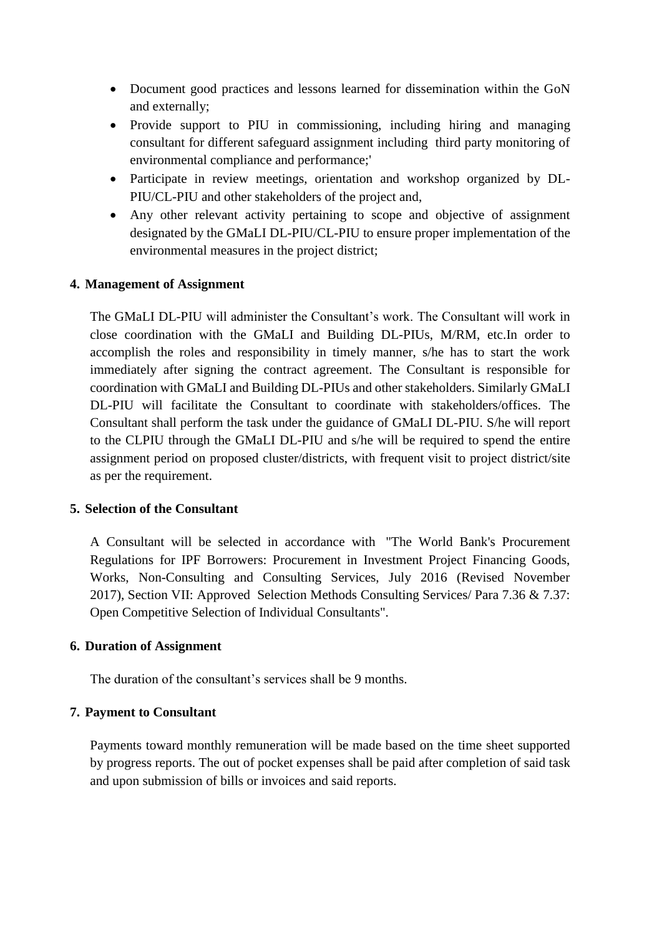- Document good practices and lessons learned for dissemination within the GoN and externally;
- Provide support to PIU in commissioning, including hiring and managing consultant for different safeguard assignment including third party monitoring of environmental compliance and performance;'
- Participate in review meetings, orientation and workshop organized by DL-PIU/CL-PIU and other stakeholders of the project and,
- Any other relevant activity pertaining to scope and objective of assignment designated by the GMaLI DL-PIU/CL-PIU to ensure proper implementation of the environmental measures in the project district;

#### **4. Management of Assignment**

The GMaLI DL-PIU will administer the Consultant's work. The Consultant will work in close coordination with the GMaLI and Building DL-PIUs, M/RM, etc.In order to accomplish the roles and responsibility in timely manner, s/he has to start the work immediately after signing the contract agreement. The Consultant is responsible for coordination with GMaLI and Building DL-PIUs and other stakeholders. Similarly GMaLI DL-PIU will facilitate the Consultant to coordinate with stakeholders/offices. The Consultant shall perform the task under the guidance of GMaLI DL-PIU. S/he will report to the CLPIU through the GMaLI DL-PIU and s/he will be required to spend the entire assignment period on proposed cluster/districts, with frequent visit to project district/site as per the requirement.

#### **5. Selection of the Consultant**

A Consultant will be selected in accordance with "The World Bank's Procurement Regulations for IPF Borrowers: Procurement in Investment Project Financing Goods, Works, Non-Consulting and Consulting Services, July 2016 (Revised November 2017), Section VII: Approved Selection Methods Consulting Services/ Para 7.36 & 7.37: Open Competitive Selection of Individual Consultants".

#### **6. Duration of Assignment**

The duration of the consultant's services shall be 9 months.

#### **7. Payment to Consultant**

Payments toward monthly remuneration will be made based on the time sheet supported by progress reports. The out of pocket expenses shall be paid after completion of said task and upon submission of bills or invoices and said reports.